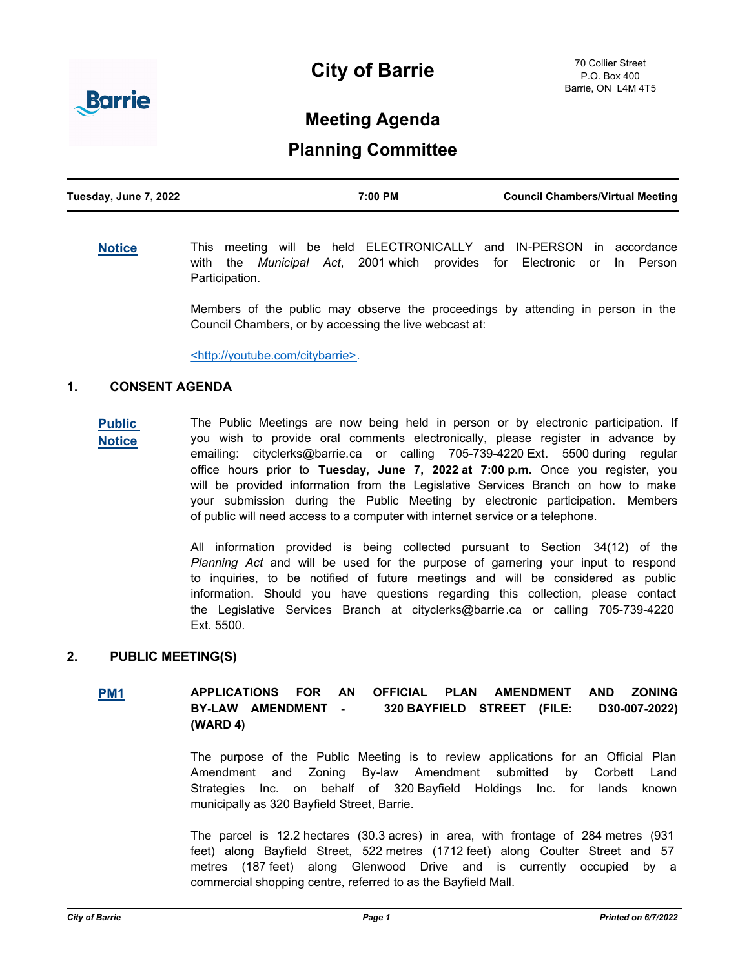# **City of Barrie**



# **Meeting Agenda**

# **Planning Committee**

**[Notice](http://barrie.ca.legistar.com/gateway.aspx?m=l&id=/matter.aspx?key=46586)** This meeting will be held ELECTRONICALLY and IN-PERSON in accordance with the *Municipal Act*, 2001 which provides for Electronic or In Person Participation.

> Members of the public may observe the proceedings by attending in person in the Council Chambers, or by accessing the live webcast at:

<http://youtube.com/citybarrie>.

#### **1. CONSENT AGENDA**

**[Public](http://barrie.ca.legistar.com/gateway.aspx?m=l&id=/matter.aspx?key=46530)  Notice** The Public Meetings are now being held in person or by electronic participation. If you wish to provide oral comments electronically, please register in advance by emailing: cityclerks@barrie.ca or calling 705-739-4220 Ext. 5500 during regular office hours prior to **Tuesday, June 7, 2022 at 7:00 p.m.** Once you register, you will be provided information from the Legislative Services Branch on how to make your submission during the Public Meeting by electronic participation. Members of public will need access to a computer with internet service or a telephone.

> All information provided is being collected pursuant to Section 34(12) of the *Planning Act* and will be used for the purpose of garnering your input to respond to inquiries, to be notified of future meetings and will be considered as public information. Should you have questions regarding this collection, please contact the Legislative Services Branch at cityclerks@barrie.ca or calling 705-739-4220 Ext. 5500.

# **2. PUBLIC MEETING(S)**

**[PM1](http://barrie.ca.legistar.com/gateway.aspx?m=l&id=/matter.aspx?key=50726) APPLICATIONS FOR AN OFFICIAL PLAN AMENDMENT AND ZONING BY-LAW AMENDMENT - 320 BAYFIELD STREET (FILE: D30-007-2022) (WARD 4)**

> The purpose of the Public Meeting is to review applications for an Official Plan Amendment and Zoning By-law Amendment submitted by Corbett Land Strategies Inc. on behalf of 320 Bayfield Holdings Inc. for lands known municipally as 320 Bayfield Street, Barrie.

> The parcel is 12.2 hectares (30.3 acres) in area, with frontage of 284 metres (931 feet) along Bayfield Street, 522 metres (1712 feet) along Coulter Street and 57 metres (187 feet) along Glenwood Drive and is currently occupied by a commercial shopping centre, referred to as the Bayfield Mall.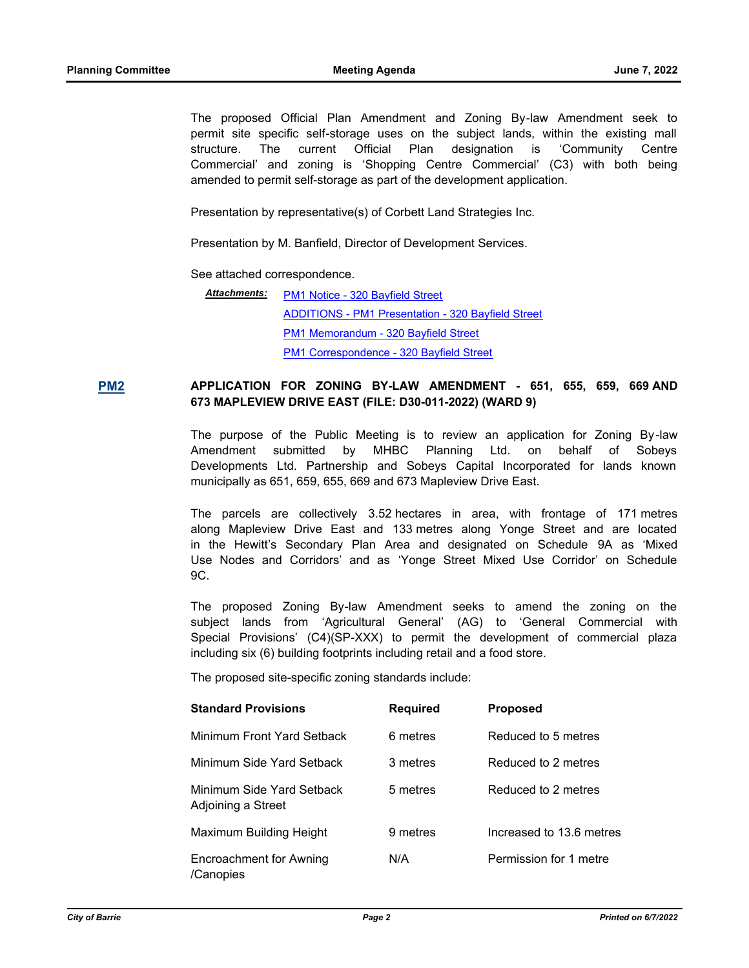The proposed Official Plan Amendment and Zoning By-law Amendment seek to permit site specific self-storage uses on the subject lands, within the existing mall structure. The current Official Plan designation is 'Community Centre Commercial' and zoning is 'Shopping Centre Commercial' (C3) with both being amended to permit self-storage as part of the development application.

Presentation by representative(s) of Corbett Land Strategies Inc.

Presentation by M. Banfield, Director of Development Services.

See attached correspondence.

[PM1 Notice - 320 Bayfield Street](http://barrie.ca.legistar.com/gateway.aspx?M=F&ID=3600cb02-8a55-40ee-9c52-7a778021149c.pdf) *Attachments:* [ADDITIONS - PM1 Presentation - 320 Bayfield Street](http://barrie.ca.legistar.com/gateway.aspx?M=F&ID=2ff33a60-a4bf-414f-96e9-22d2f964d3e7.pdf) [PM1 Memorandum - 320 Bayfield Street](http://barrie.ca.legistar.com/gateway.aspx?M=F&ID=ee748122-f3aa-485c-8edf-0f774b47b41e.pdf) [PM1 Correspondence - 320 Bayfield Street](http://barrie.ca.legistar.com/gateway.aspx?M=F&ID=eef355a1-cb6c-4ec7-afaa-8445cbc578dc.pdf)

**[PM2](http://barrie.ca.legistar.com/gateway.aspx?m=l&id=/matter.aspx?key=50712) APPLICATION FOR ZONING BY-LAW AMENDMENT - 651, 655, 659, 669 AND 673 MAPLEVIEW DRIVE EAST (FILE: D30-011-2022) (WARD 9)**

> The purpose of the Public Meeting is to review an application for Zoning By-law Amendment submitted by MHBC Planning Ltd. on behalf of Sobeys Developments Ltd. Partnership and Sobeys Capital Incorporated for lands known municipally as 651, 659, 655, 669 and 673 Mapleview Drive East.

> The parcels are collectively 3.52 hectares in area, with frontage of 171 metres along Mapleview Drive East and 133 metres along Yonge Street and are located in the Hewitt's Secondary Plan Area and designated on Schedule 9A as 'Mixed Use Nodes and Corridors' and as 'Yonge Street Mixed Use Corridor' on Schedule 9C.

> The proposed Zoning By-law Amendment seeks to amend the zoning on the subject lands from 'Agricultural General' (AG) to 'General Commercial with Special Provisions' (C4)(SP-XXX) to permit the development of commercial plaza including six (6) building footprints including retail and a food store.

The proposed site-specific zoning standards include:

| <b>Standard Provisions</b>                      | <b>Required</b> | <b>Proposed</b>          |
|-------------------------------------------------|-----------------|--------------------------|
| Minimum Front Yard Setback                      | 6 metres        | Reduced to 5 metres      |
| Minimum Side Yard Setback                       | 3 metres        | Reduced to 2 metres      |
| Minimum Side Yard Setback<br>Adjoining a Street | 5 metres        | Reduced to 2 metres      |
| Maximum Building Height                         | 9 metres        | Increased to 13.6 metres |
| Encroachment for Awning<br>/Canopies            | N/A             | Permission for 1 metre   |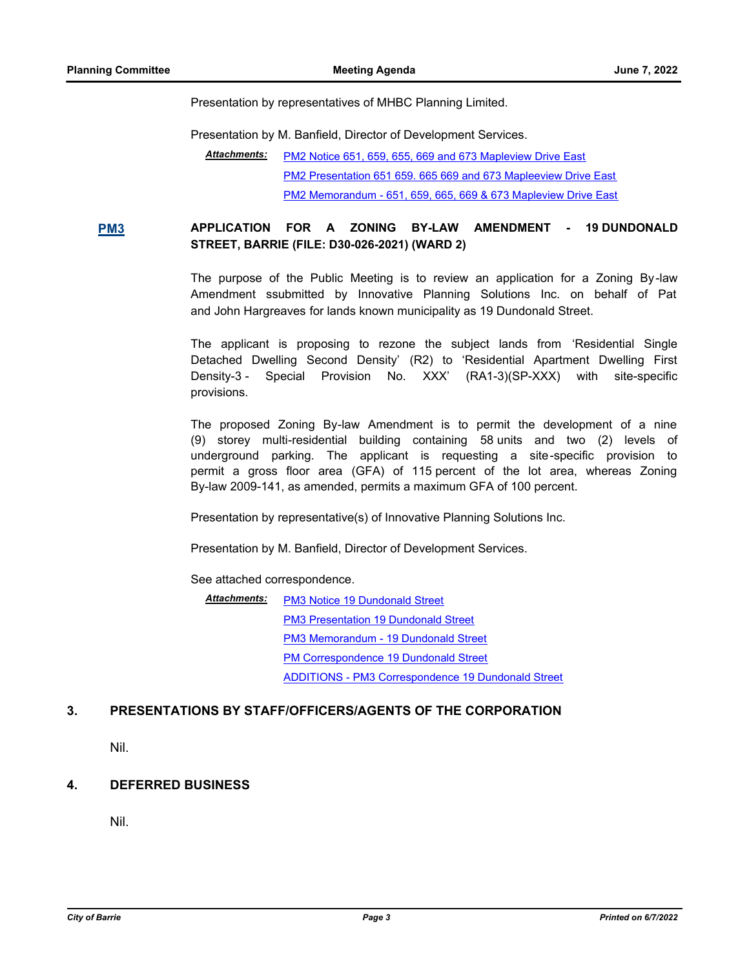Presentation by representatives of MHBC Planning Limited.

Presentation by M. Banfield, Director of Development Services.

[PM2 Notice 651, 659, 655, 669 and 673 Mapleview Drive East](http://barrie.ca.legistar.com/gateway.aspx?M=F&ID=b816cae8-b36a-426f-be1e-cc28cb5dd259.pdf) [PM2 Presentation 651 659. 665 669 and 673 Mapleeview Drive East](http://barrie.ca.legistar.com/gateway.aspx?M=F&ID=23b2e820-d4af-4050-9db1-a02748f00d79.pdf) [PM2 Memorandum - 651, 659, 665, 669 & 673 Mapleview Drive East](http://barrie.ca.legistar.com/gateway.aspx?M=F&ID=41664824-38f2-46c6-9c19-4e4ec30bf8be.pdf) *Attachments:*

**[PM3](http://barrie.ca.legistar.com/gateway.aspx?m=l&id=/matter.aspx?key=50713) APPLICATION FOR A ZONING BY-LAW AMENDMENT - 19 DUNDONALD STREET, BARRIE (FILE: D30-026-2021) (WARD 2)**

> The purpose of the Public Meeting is to review an application for a Zoning By-law Amendment ssubmitted by Innovative Planning Solutions Inc. on behalf of Pat and John Hargreaves for lands known municipality as 19 Dundonald Street.

> The applicant is proposing to rezone the subject lands from 'Residential Single Detached Dwelling Second Density' (R2) to 'Residential Apartment Dwelling First Density-3 - Special Provision No. XXX' (RA1-3)(SP-XXX) with site-specific provisions.

> The proposed Zoning By-law Amendment is to permit the development of a nine (9) storey multi-residential building containing 58 units and two (2) levels of underground parking. The applicant is requesting a site-specific provision to permit a gross floor area (GFA) of 115 percent of the lot area, whereas Zoning By-law 2009-141, as amended, permits a maximum GFA of 100 percent.

Presentation by representative(s) of Innovative Planning Solutions Inc.

Presentation by M. Banfield, Director of Development Services.

See attached correspondence.

[PM3 Notice 19 Dundonald Street](http://barrie.ca.legistar.com/gateway.aspx?M=F&ID=97e88ffe-ccda-46ae-8af4-86a771b5b09d.pdf) *Attachments:* [PM3 Presentation 19 Dundonald Street](http://barrie.ca.legistar.com/gateway.aspx?M=F&ID=9bcf49da-2bab-47ee-bc8a-8deafe6f64cc.pdf) [PM3 Memorandum - 19 Dundonald Street](http://barrie.ca.legistar.com/gateway.aspx?M=F&ID=ead8aba3-230c-4453-9749-dbf08d9e03c0.pdf) [PM Correspondence 19 Dundonald Street](http://barrie.ca.legistar.com/gateway.aspx?M=F&ID=96ea7e0f-9ef6-437e-9969-38f21fa7de25.pdf) [ADDITIONS - PM3 Correspondence 19 Dundonald Street](http://barrie.ca.legistar.com/gateway.aspx?M=F&ID=131131ff-287c-4bc2-a298-687114b8d079.pdf)

### **3. PRESENTATIONS BY STAFF/OFFICERS/AGENTS OF THE CORPORATION**

Nil.

### **4. DEFERRED BUSINESS**

Nil.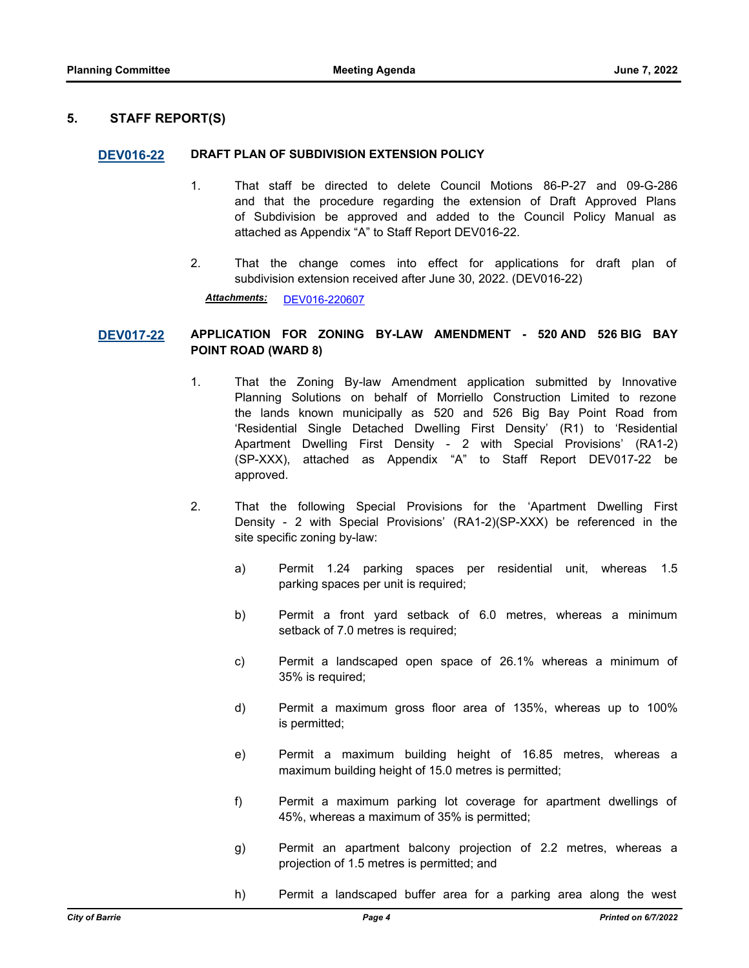#### **5. STAFF REPORT(S)**

#### **[DEV016-22](http://barrie.ca.legistar.com/gateway.aspx?m=l&id=/matter.aspx?key=50753) DRAFT PLAN OF SUBDIVISION EXTENSION POLICY**

- 1. That staff be directed to delete Council Motions 86-P-27 and 09-G-286 and that the procedure regarding the extension of Draft Approved Plans of Subdivision be approved and added to the Council Policy Manual as attached as Appendix "A" to Staff Report DEV016-22.
- 2. That the change comes into effect for applications for draft plan of subdivision extension received after June 30, 2022. (DEV016-22)

*Attachments:* [DEV016-220607](http://barrie.ca.legistar.com/gateway.aspx?M=F&ID=d3087a2f-f992-460c-9ba6-8e807c99f083.pdf)

#### **[DEV017-22](http://barrie.ca.legistar.com/gateway.aspx?m=l&id=/matter.aspx?key=50731) APPLICATION FOR ZONING BY-LAW AMENDMENT - 520 AND 526 BIG BAY POINT ROAD (WARD 8)**

- 1. That the Zoning By-law Amendment application submitted by Innovative Planning Solutions on behalf of Morriello Construction Limited to rezone the lands known municipally as 520 and 526 Big Bay Point Road from 'Residential Single Detached Dwelling First Density' (R1) to 'Residential Apartment Dwelling First Density - 2 with Special Provisions' (RA1-2) (SP-XXX), attached as Appendix "A" to Staff Report DEV017-22 be approved.
- 2. That the following Special Provisions for the 'Apartment Dwelling First Density - 2 with Special Provisions' (RA1-2)(SP-XXX) be referenced in the site specific zoning by-law:
	- a) Permit 1.24 parking spaces per residential unit, whereas 1.5 parking spaces per unit is required;
	- b) Permit a front yard setback of 6.0 metres, whereas a minimum setback of 7.0 metres is required;
	- c) Permit a landscaped open space of 26.1% whereas a minimum of 35% is required;
	- d) Permit a maximum gross floor area of 135%, whereas up to 100% is permitted;
	- e) Permit a maximum building height of 16.85 metres, whereas a maximum building height of 15.0 metres is permitted;
	- f) Permit a maximum parking lot coverage for apartment dwellings of 45%, whereas a maximum of 35% is permitted;
	- g) Permit an apartment balcony projection of 2.2 metres, whereas a projection of 1.5 metres is permitted; and
	- h) Permit a landscaped buffer area for a parking area along the west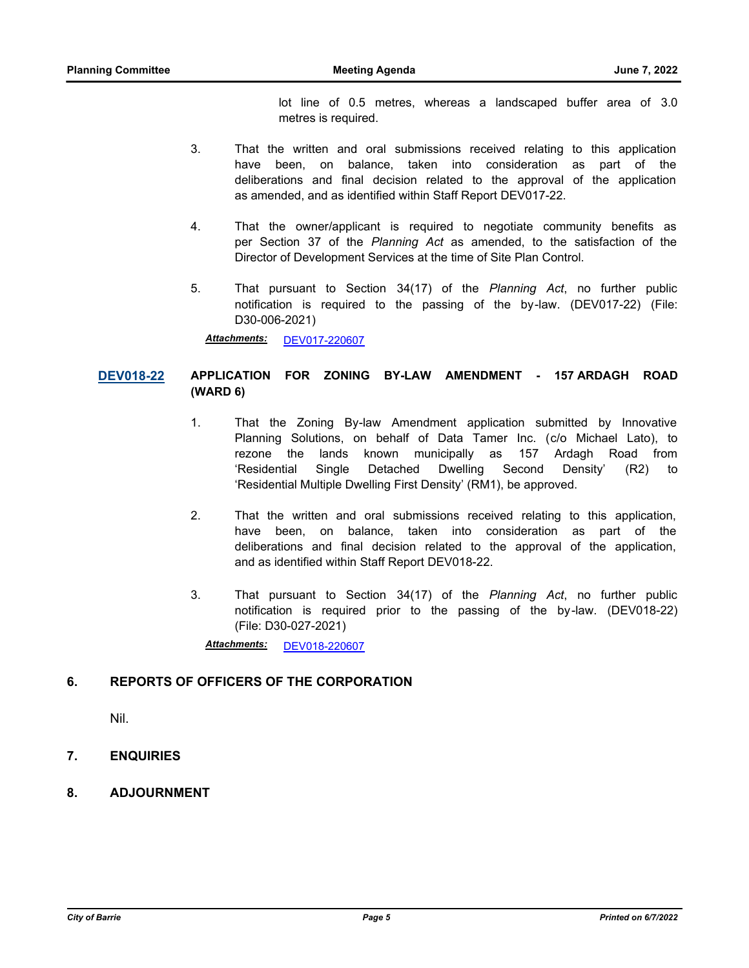lot line of 0.5 metres, whereas a landscaped buffer area of 3.0 metres is required.

- 3. That the written and oral submissions received relating to this application have been, on balance, taken into consideration as part of the deliberations and final decision related to the approval of the application as amended, and as identified within Staff Report DEV017-22.
- 4. That the owner/applicant is required to negotiate community benefits as per Section 37 of the *Planning Act* as amended, to the satisfaction of the Director of Development Services at the time of Site Plan Control.
- 5. That pursuant to Section 34(17) of the *Planning Act*, no further public notification is required to the passing of the by-law. (DEV017-22) (File: D30-006-2021)

*Attachments:* [DEV017-220607](http://barrie.ca.legistar.com/gateway.aspx?M=F&ID=12fa30a2-3480-4cd1-95a0-5536c40edc90.pdf)

# **[DEV018-22](http://barrie.ca.legistar.com/gateway.aspx?m=l&id=/matter.aspx?key=50727) APPLICATION FOR ZONING BY-LAW AMENDMENT - 157 ARDAGH ROAD (WARD 6)**

- 1. That the Zoning By-law Amendment application submitted by Innovative Planning Solutions, on behalf of Data Tamer Inc. (c/o Michael Lato), to rezone the lands known municipally as 157 Ardagh Road from 'Residential Single Detached Dwelling Second Density' (R2) to 'Residential Multiple Dwelling First Density' (RM1), be approved.
- 2. That the written and oral submissions received relating to this application, have been, on balance, taken into consideration as part of the deliberations and final decision related to the approval of the application, and as identified within Staff Report DEV018-22.
- 3. That pursuant to Section 34(17) of the *Planning Act*, no further public notification is required prior to the passing of the by-law. (DEV018-22) (File: D30-027-2021)

*Attachments:* [DEV018-220607](http://barrie.ca.legistar.com/gateway.aspx?M=F&ID=85ac9e53-fdf0-44ac-9f6c-a9eb9ec462ba.pdf)

# **6. REPORTS OF OFFICERS OF THE CORPORATION**

Nil.

- **7. ENQUIRIES**
- **8. ADJOURNMENT**